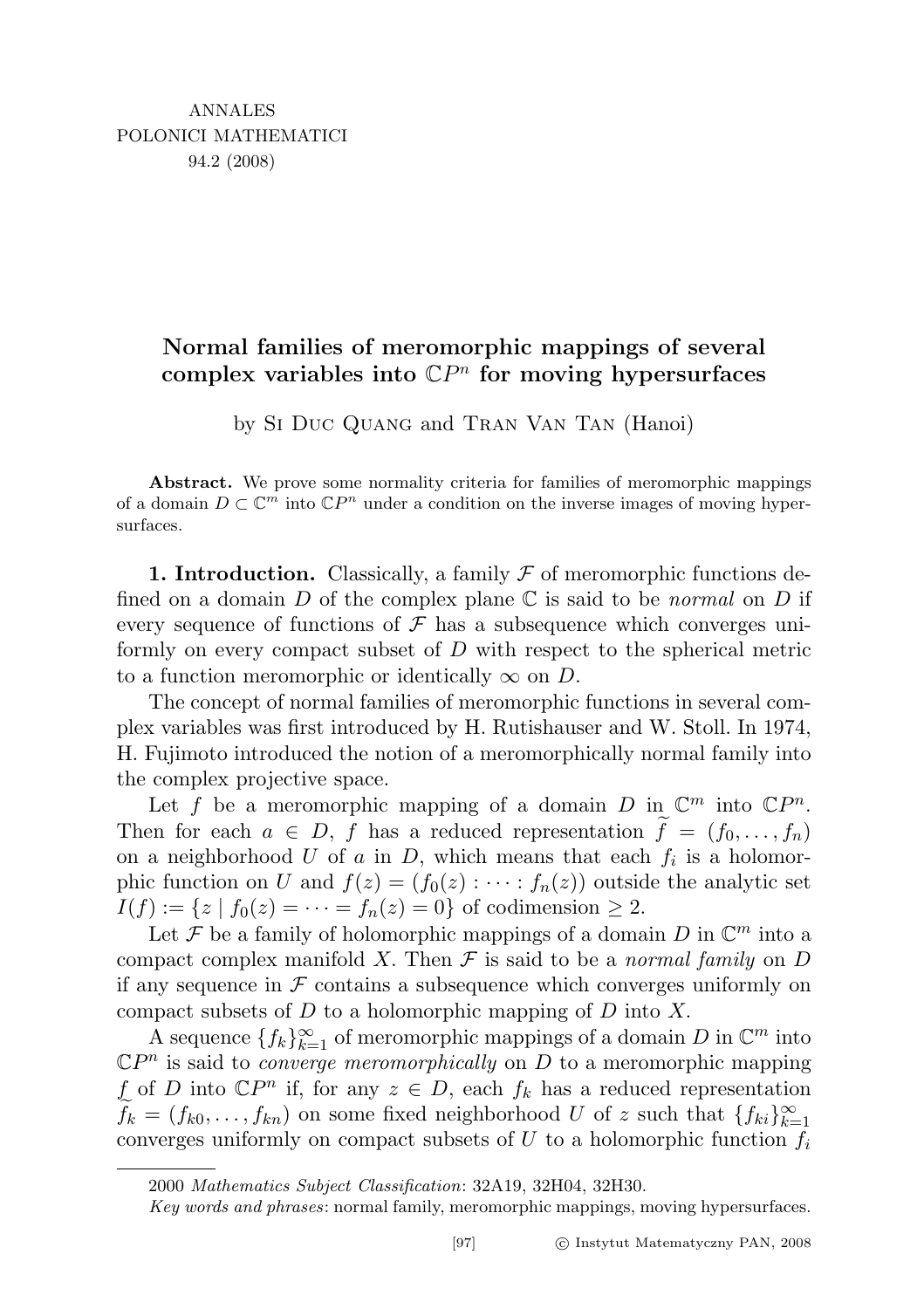## Normal families of meromorphic mappings of several complex variables into  $\mathbb{C}P^n$  for moving hypersurfaces

by Si Duc Quang and Tran Van Tan (Hanoi)

Abstract. We prove some normality criteria for families of meromorphic mappings of a domain  $D \subset \mathbb{C}^m$  into  $\mathbb{C}P^n$  under a condition on the inverse images of moving hypersurfaces.

1. Introduction. Classically, a family  $\mathcal F$  of meromorphic functions defined on a domain D of the complex plane  $\mathbb C$  is said to be normal on D if every sequence of functions of  $\mathcal F$  has a subsequence which converges uniformly on every compact subset of D with respect to the spherical metric to a function meromorphic or identically  $\infty$  on D.

The concept of normal families of meromorphic functions in several complex variables was first introduced by H. Rutishauser and W. Stoll. In 1974, H. Fujimoto introduced the notion of a meromorphically normal family into the complex projective space.

Let f be a meromorphic mapping of a domain D in  $\mathbb{C}^m$  into  $\mathbb{C}P^n$ . Then for each  $a \in D$ , f has a reduced representation  $f = (f_0, \ldots, f_n)$ on a neighborhood U of a in D, which means that each  $f_i$  is a holomorphic function on U and  $f(z) = (f_0(z) : \cdots : f_n(z))$  outside the analytic set  $I(f) := \{ z \mid f_0(z) = \cdots = f_n(z) = 0 \}$  of codimension  $\geq 2$ .

Let F be a family of holomorphic mappings of a domain D in  $\mathbb{C}^m$  into a compact complex manifold X. Then  $\mathcal F$  is said to be a normal family on D if any sequence in  $\mathcal F$  contains a subsequence which converges uniformly on compact subsets of  $D$  to a holomorphic mapping of  $D$  into  $X$ .

A sequence  $\{f_k\}_{k=1}^{\infty}$  of meromorphic mappings of a domain D in  $\mathbb{C}^m$  into  $\mathbb{C}P^n$  is said to *converge meromorphically* on D to a meromorphic mapping f of D into  $\mathbb{C}P^n$  if, for any  $z \in D$ , each  $f_k$  has a reduced representation  $\widetilde{f}_k = (f_{k0}, \ldots, f_{kn})$  on some fixed neighborhood U of z such that  $\{f_{ki}\}_{k=1}^\infty$ converges uniformly on compact subsets of U to a holomorphic function  $f_i$ 

<sup>2000</sup> Mathematics Subject Classification: 32A19, 32H04, 32H30.

Key words and phrases: normal family, meromorphic mappings, moving hypersurfaces.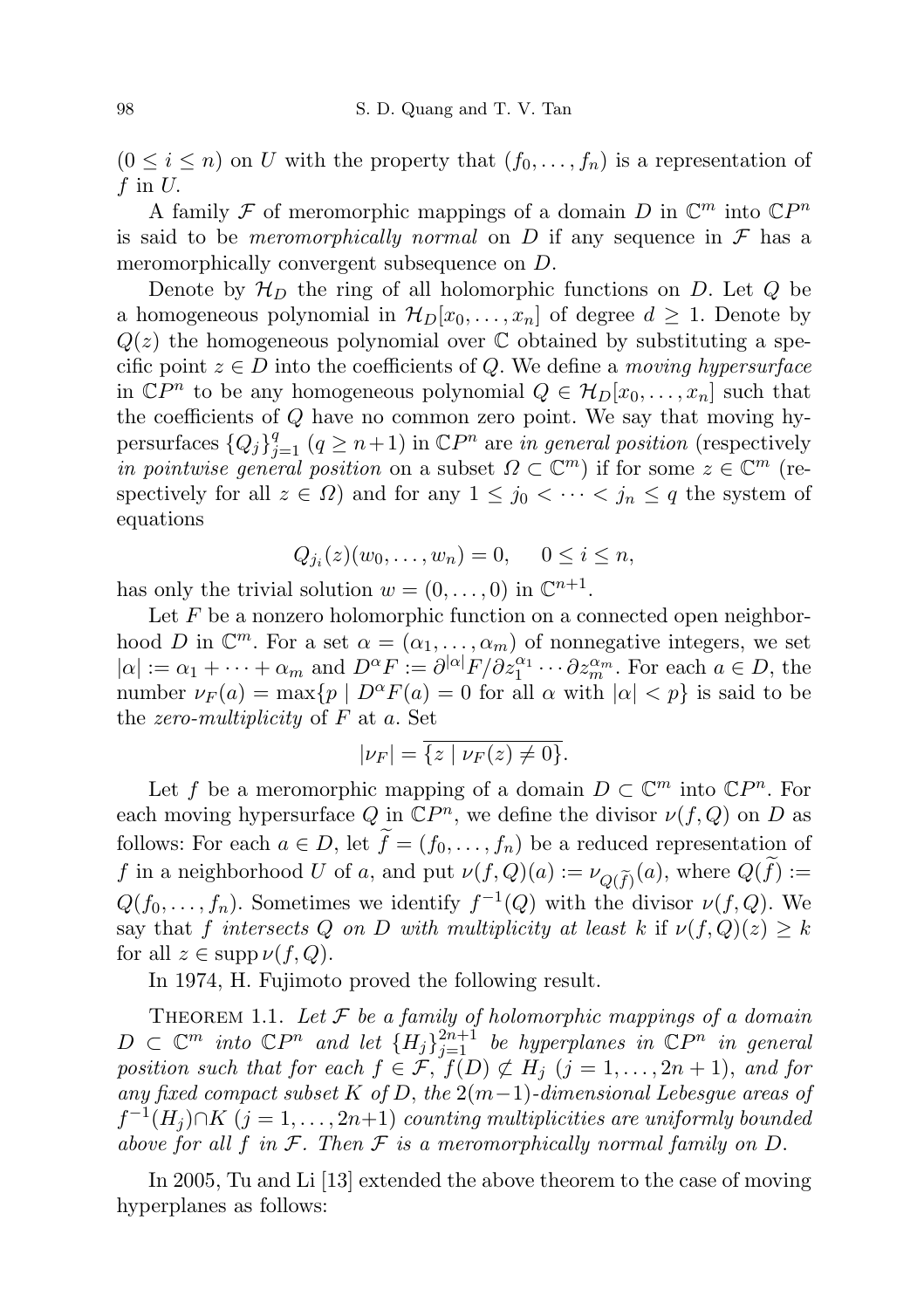$(0 \leq i \leq n)$  on U with the property that  $(f_0, \ldots, f_n)$  is a representation of f in  $U$ .

A family  $\mathcal F$  of meromorphic mappings of a domain D in  $\mathbb C^m$  into  $\mathbb C P^n$ is said to be *meromorphically normal* on D if any sequence in  $\mathcal F$  has a meromorphically convergent subsequence on  $D$ .

Denote by  $\mathcal{H}_D$  the ring of all holomorphic functions on D. Let Q be a homogeneous polynomial in  $\mathcal{H}_D[x_0, \ldots, x_n]$  of degree  $d \geq 1$ . Denote by  $Q(z)$  the homogeneous polynomial over C obtained by substituting a specific point  $z \in D$  into the coefficients of Q. We define a moving hypersurface in  $\mathbb{C}P^n$  to be any homogeneous polynomial  $Q \in \mathcal{H}_D[x_0,\ldots,x_n]$  such that the coefficients of Q have no common zero point. We say that moving hypersurfaces  ${Q_j}_{j=1}^q$   $(q \geq n+1)$  in  $\mathbb{C}P^n$  are in general position (respectively in pointwise general position on a subset  $\Omega \subset \mathbb{C}^m$ ) if for some  $z \in \mathbb{C}^m$  (respectively for all  $z \in \Omega$ ) and for any  $1 \leq j_0 < \cdots < j_n \leq q$  the system of equations

$$
Q_{j_i}(z)(w_0,\ldots,w_n)=0, \quad 0\leq i\leq n,
$$

has only the trivial solution  $w = (0, \ldots, 0)$  in  $\mathbb{C}^{n+1}$ .

Let  $F$  be a nonzero holomorphic function on a connected open neighborhood D in  $\mathbb{C}^m$ . For a set  $\alpha = (\alpha_1, \ldots, \alpha_m)$  of nonnegative integers, we set  $|\alpha| := \alpha_1 + \cdots + \alpha_m$  and  $D^{\alpha} F := \partial^{|\alpha|} F / \partial z_1^{\alpha_1} \cdots \partial z_m^{\alpha_m}$ . For each  $a \in D$ , the number  $\nu_F(a) = \max\{p \mid D^{\alpha}F(a) = 0$  for all  $\alpha$  with  $|\alpha| < p\}$  is said to be the *zero-multiplicity* of  $F$  at  $a$ . Set

$$
|\nu_F| = \overline{\{z \mid \nu_F(z) \neq 0\}}.
$$

Let f be a meromorphic mapping of a domain  $D \subset \mathbb{C}^m$  into  $\mathbb{C}P^n$ . For each moving hypersurface Q in  $\mathbb{C}P^n$ , we define the divisor  $\nu(f, Q)$  on D as follows: For each  $a \in D$ , let  $f = (f_0, \ldots, f_n)$  be a reduced representation of f in a neighborhood U of a, and put  $\nu(f,Q)(a) := \nu_{Q(\tilde{f})}(a)$ , where  $Q(f) := Q(a)$  $Q(f_0, \ldots, f_n)$ . Sometimes we identify  $f^{-1}(Q)$  with the divisor  $\nu(f, Q)$ . We say that f intersects Q on D with multiplicity at least k if  $\nu(f,Q)(z) \geq k$ for all  $z \in \text{supp }\nu(f,Q)$ .

In 1974, H. Fujimoto proved the following result.

THEOREM 1.1. Let  $\mathcal F$  be a family of holomorphic mappings of a domain  $D \subset \mathbb{C}^m$  into  $\mathbb{C}P^n$  and let  $\{H_j\}_{j=1}^{2n+1}$  be hyperplanes in  $\mathbb{C}P^n$  in general position such that for each  $f \in \mathcal{F}$ ,  $f(D) \not\subset H_j$   $(j = 1, \ldots, 2n + 1)$ , and for any fixed compact subset K of D, the  $2(m-1)$ -dimensional Lebesgue areas of  $f^{-1}(H_j) \cap K$   $(j = 1, \ldots, 2n+1)$  counting multiplicities are uniformly bounded above for all f in  $\mathcal F$ . Then  $\mathcal F$  is a meromorphically normal family on  $D$ .

In 2005, Tu and Li [13] extended the above theorem to the case of moving hyperplanes as follows: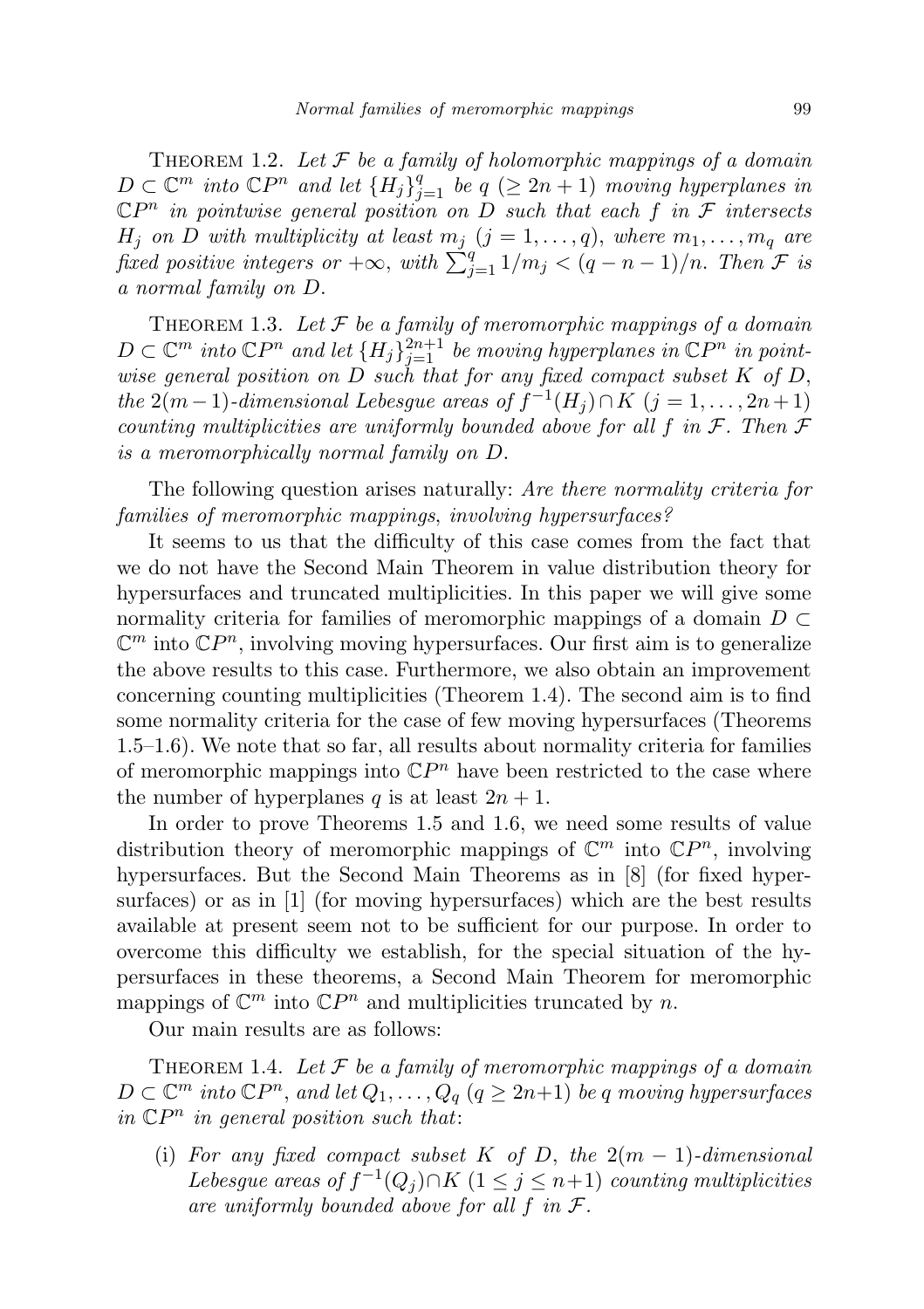THEOREM 1.2. Let  $\mathcal F$  be a family of holomorphic mappings of a domain  $D \subset \mathbb{C}^m$  into  $\mathbb{C}P^n$  and let  $\{H_j\}_{j=1}^q$  be  $q \ (\geq 2n+1)$  moving hyperplanes in  $\mathbb{C}P^n$  in pointwise general position on D such that each f in F intersects  $H_j$  on D with multiplicity at least  $m_j$   $(j = 1, \ldots, q)$ , where  $m_1, \ldots, m_q$  are fixed positive integers or  $+\infty$ , with  $\sum_{j=1}^{q} 1/m_j < (q-n-1)/n$ . Then  $\mathcal F$  is a normal family on D.

THEOREM 1.3. Let  $\mathcal F$  be a family of meromorphic mappings of a domain  $D \subset \mathbb{C}^m$  into  $\mathbb{C}P^n$  and let  $\{H_j\}_{j=1}^{2n+1}$  be moving hyperplanes in  $\mathbb{C}P^n$  in pointwise general position on  $D$  such that for any fixed compact subset  $K$  of  $D$ , the 2(m – 1)-dimensional Lebesgue areas of  $f^{-1}(H_j) \cap K$  (j = 1, ..., 2n + 1) counting multiplicities are uniformly bounded above for all f in  $\mathcal F$ . Then  $\mathcal F$ is a meromorphically normal family on D.

The following question arises naturally: Are there normality criteria for families of meromorphic mappings, involving hypersurfaces?

It seems to us that the difficulty of this case comes from the fact that we do not have the Second Main Theorem in value distribution theory for hypersurfaces and truncated multiplicities. In this paper we will give some normality criteria for families of meromorphic mappings of a domain  $D \subset$  $\mathbb{C}^m$  into  $\mathbb{C}P^n$ , involving moving hypersurfaces. Our first aim is to generalize the above results to this case. Furthermore, we also obtain an improvement concerning counting multiplicities (Theorem 1.4). The second aim is to find some normality criteria for the case of few moving hypersurfaces (Theorems 1.5–1.6). We note that so far, all results about normality criteria for families of meromorphic mappings into  $\mathbb{C}P^n$  have been restricted to the case where the number of hyperplanes q is at least  $2n + 1$ .

In order to prove Theorems 1.5 and 1.6, we need some results of value distribution theory of meromorphic mappings of  $\mathbb{C}^m$  into  $\mathbb{C}P^n$ , involving hypersurfaces. But the Second Main Theorems as in [8] (for fixed hypersurfaces) or as in [1] (for moving hypersurfaces) which are the best results available at present seem not to be sufficient for our purpose. In order to overcome this difficulty we establish, for the special situation of the hypersurfaces in these theorems, a Second Main Theorem for meromorphic mappings of  $\mathbb{C}^m$  into  $\mathbb{C}P^n$  and multiplicities truncated by n.

Our main results are as follows:

THEOREM 1.4. Let  $\mathcal F$  be a family of meromorphic mappings of a domain  $D \subset \mathbb{C}^m$  into  $\mathbb{C}P^n$ , and let  $Q_1, \ldots, Q_q$   $(q \geq 2n+1)$  be q moving hypersurfaces in  $\mathbb{C}P^n$  in general position such that:

(i) For any fixed compact subset K of D, the  $2(m-1)$ -dimensional Lebesgue areas of  $f^{-1}(Q_j) \cap K$   $(1 \leq j \leq n+1)$  counting multiplicities are uniformly bounded above for all  $f$  in  $\mathcal{F}$ .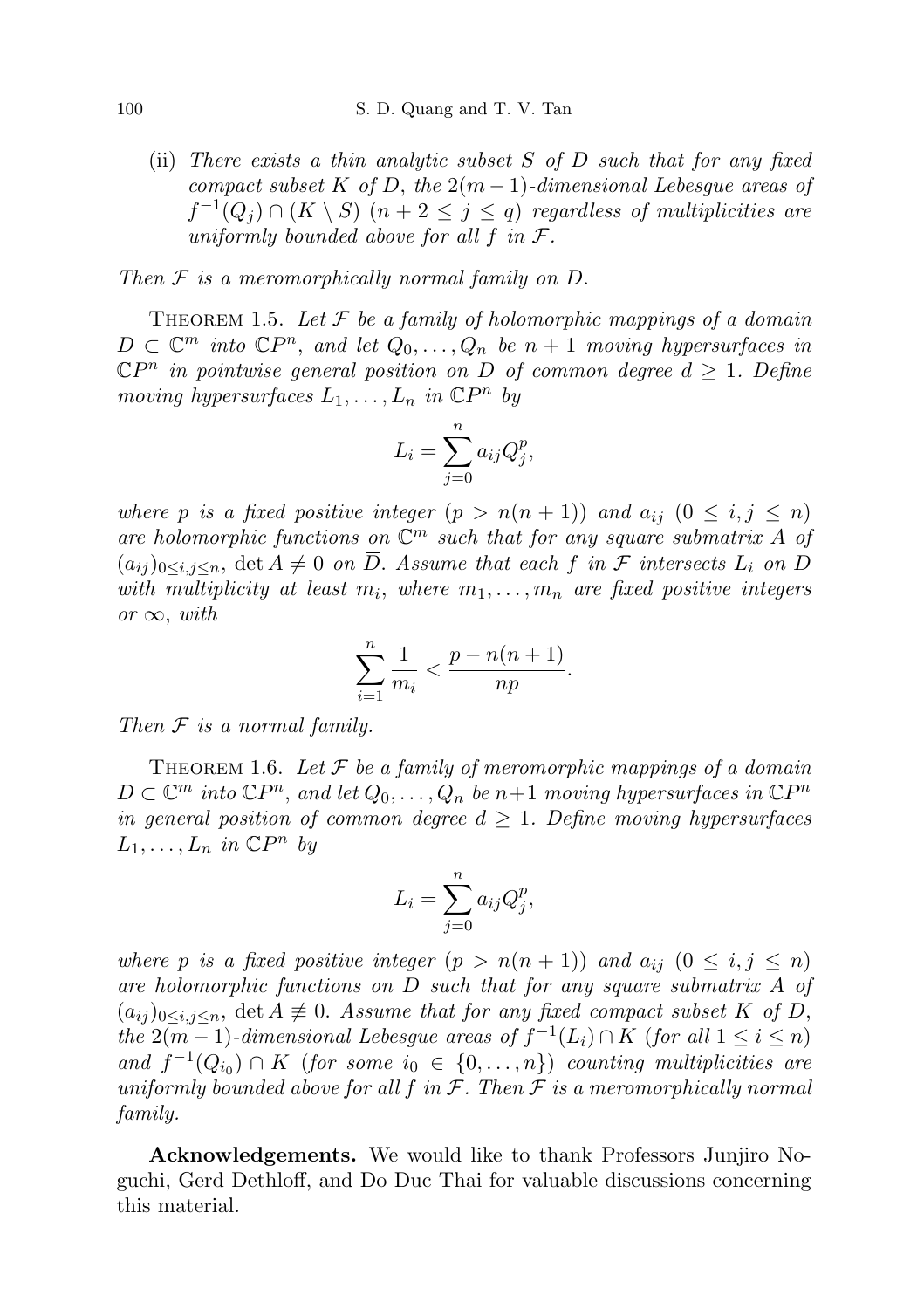(ii) There exists a thin analytic subset  $S$  of  $D$  such that for any fixed compact subset K of D, the  $2(m-1)$ -dimensional Lebesgue areas of  $f^{-1}(Q_j) \cap (K \setminus S)$   $(n+2 \leq j \leq q)$  regardless of multiplicities are uniformly bounded above for all f in  $\mathcal{F}.$ 

Then  $F$  is a meromorphically normal family on  $D$ .

THEOREM 1.5. Let  $\mathcal F$  be a family of holomorphic mappings of a domain  $D \subset \mathbb{C}^m$  into  $\mathbb{C}P^n$ , and let  $Q_0, \ldots, Q_n$  be  $n+1$  moving hypersurfaces in  $\mathbb{C}P^n$  in pointwise general position on  $\overline{D}$  of common degree  $d \geq 1$ . Define moving hypersurfaces  $L_1, \ldots, L_n$  in  $\mathbb{C}P^n$  by

$$
L_i = \sum_{j=0}^n a_{ij} Q_j^p,
$$

where p is a fixed positive integer  $(p > n(n + 1))$  and  $a_{ij}$   $(0 \le i, j \le n)$ are holomorphic functions on  $\mathbb{C}^m$  such that for any square submatrix A of  $(a_{ij})_{0\leq i,j\leq n}$ , det  $A\neq 0$  on  $\overline{D}$ . Assume that each f in F intersects  $L_i$  on D with multiplicity at least  $m_i$ , where  $m_1, \ldots, m_n$  are fixed positive integers or  $\infty$ , with

$$
\sum_{i=1}^{n} \frac{1}{m_i} < \frac{p - n(n+1)}{np}.
$$

Then  $F$  is a normal family.

THEOREM 1.6. Let  $\mathcal F$  be a family of meromorphic mappings of a domain  $D \subset \mathbb{C}^m$  into  $\mathbb{C}P^n$ , and let  $Q_0, \ldots, Q_n$  be  $n+1$  moving hypersurfaces in  $\mathbb{C}P^n$ in general position of common degree  $d \geq 1$ . Define moving hypersurfaces  $L_1, \ldots, L_n$  in  $\mathbb{C}P^n$  by

$$
L_i = \sum_{j=0}^n a_{ij} Q_j^p,
$$

where p is a fixed positive integer  $(p > n(n + 1))$  and  $a_{ij}$   $(0 \le i, j \le n)$ are holomorphic functions on D such that for any square submatrix A of  $(a_{ij})_{0\leq i,j\leq n}$ , det  $A \not\equiv 0$ . Assume that for any fixed compact subset K of D, the  $2(m-1)$ -dimensional Lebesgue areas of  $f^{-1}(L_i) \cap K$  (for all  $1 \leq i \leq n$ ) and  $f^{-1}(Q_{i_0}) \cap K$  (for some  $i_0 \in \{0, \ldots, n\}$ ) counting multiplicities are uniformly bounded above for all f in  $\mathcal F$ . Then  $\mathcal F$  is a meromorphically normal family.

Acknowledgements. We would like to thank Professors Junjiro Noguchi, Gerd Dethloff, and Do Duc Thai for valuable discussions concerning this material.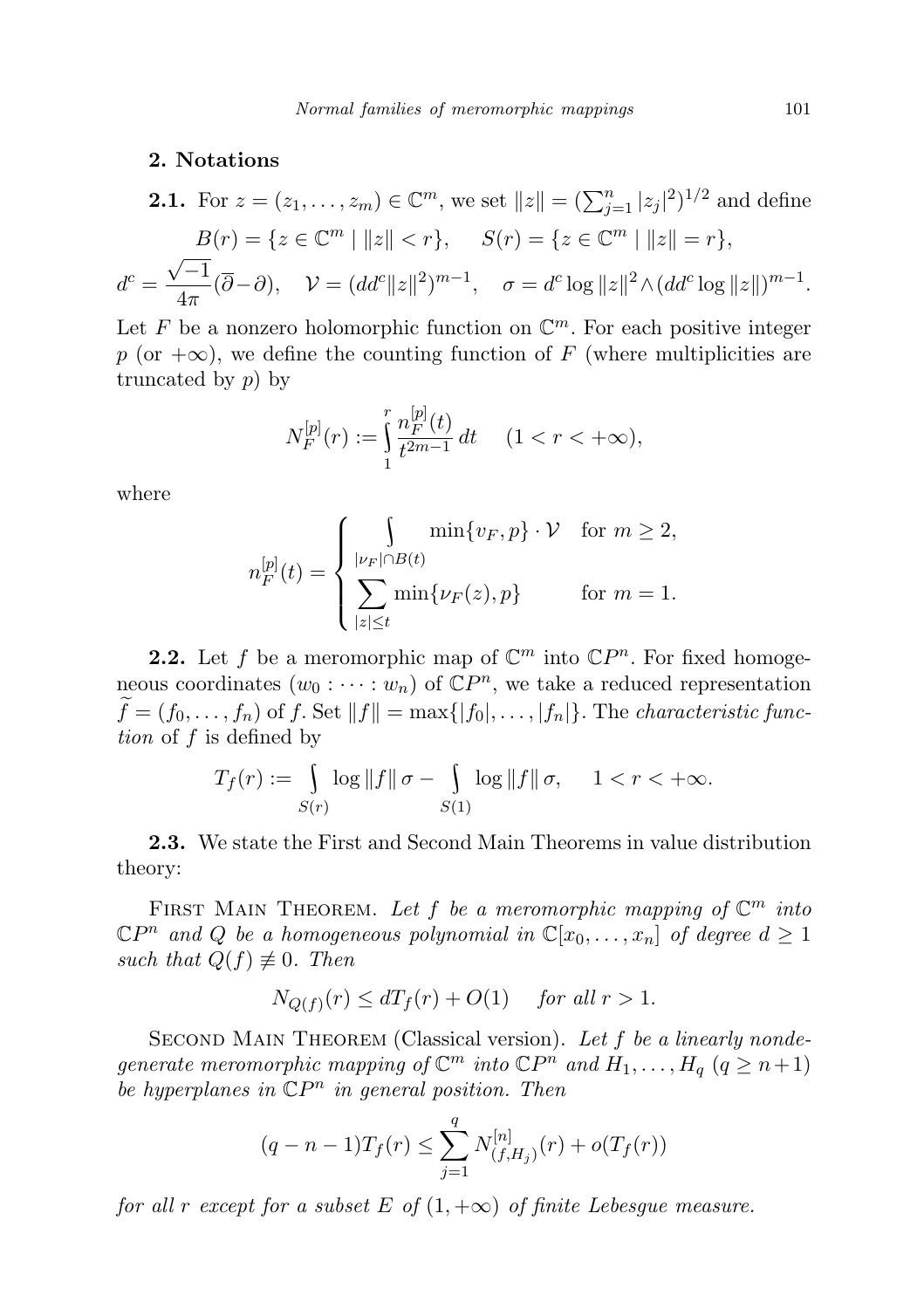## 2. Notations

**2.1.** For 
$$
z = (z_1, ..., z_m) \in \mathbb{C}^m
$$
, we set  $||z|| = (\sum_{j=1}^n |z_j|^2)^{1/2}$  and define  
\n
$$
B(r) = \{z \in \mathbb{C}^m \mid ||z|| < r\}, \quad S(r) = \{z \in \mathbb{C}^m \mid ||z|| = r\},
$$
\n
$$
d^c = \frac{\sqrt{-1}}{4\pi}(\overline{\partial} - \partial), \quad \mathcal{V} = (dd^c ||z||^2)^{m-1}, \quad \sigma = d^c \log ||z||^2 \wedge (dd^c \log ||z||)^{m-1}.
$$

Let F be a nonzero holomorphic function on  $\mathbb{C}^m$ . For each positive integer p (or  $+\infty$ ), we define the counting function of F (where multiplicities are truncated by  $p$ ) by

$$
N_F^{[p]}(r) := \int_1^r \frac{n_F^{[p]}(t)}{t^{2m-1}} dt \quad (1 < r < +\infty),
$$

where

$$
n_F^{[p]}(t) = \begin{cases} \int \min\{v_F, p\} \cdot \mathcal{V} & \text{for } m \ge 2, \\ \sum_{|z| \le t} \min\{\nu_F(z), p\} & \text{for } m = 1. \end{cases}
$$

**2.2.** Let f be a meromorphic map of  $\mathbb{C}^m$  into  $\mathbb{C}P^n$ . For fixed homogeneous coordinates  $(w_0: \cdots: w_n)$  of  $\mathbb{C}P^n$ , we take a reduced representation  $\widetilde{f}=(f_0,\ldots,f_n)$  of f. Set  $||f||=\max\{|f_0|,\ldots,|f_n|\}$ . The characteristic function of f is defined by

$$
T_f(r) := \int\limits_{S(r)} \log ||f|| \sigma - \int\limits_{S(1)} \log ||f|| \sigma, \quad 1 < r < +\infty.
$$

2.3. We state the First and Second Main Theorems in value distribution theory:

FIRST MAIN THEOREM. Let f be a meromorphic mapping of  $\mathbb{C}^m$  into  $\mathbb{C}P^n$  and Q be a homogeneous polynomial in  $\mathbb{C}[x_0,\ldots,x_n]$  of degree  $d\geq 1$ such that  $Q(f) \not\equiv 0$ . Then

$$
N_{Q(f)}(r) \le dT_f(r) + O(1) \quad \text{ for all } r > 1.
$$

SECOND MAIN THEOREM (Classical version). Let  $f$  be a linearly nondegenerate meromorphic mapping of  $\mathbb{C}^m$  into  $\mathbb{C}P^n$  and  $H_1, \ldots, H_q$   $(q \ge n+1)$ be hyperplanes in  $\mathbb{C}P^n$  in general position. Then

$$
(q - n - 1)T_f(r) \le \sum_{j=1}^q N_{(f,H_j)}^{[n]}(r) + o(T_f(r))
$$

for all r except for a subset E of  $(1, +\infty)$  of finite Lebesgue measure.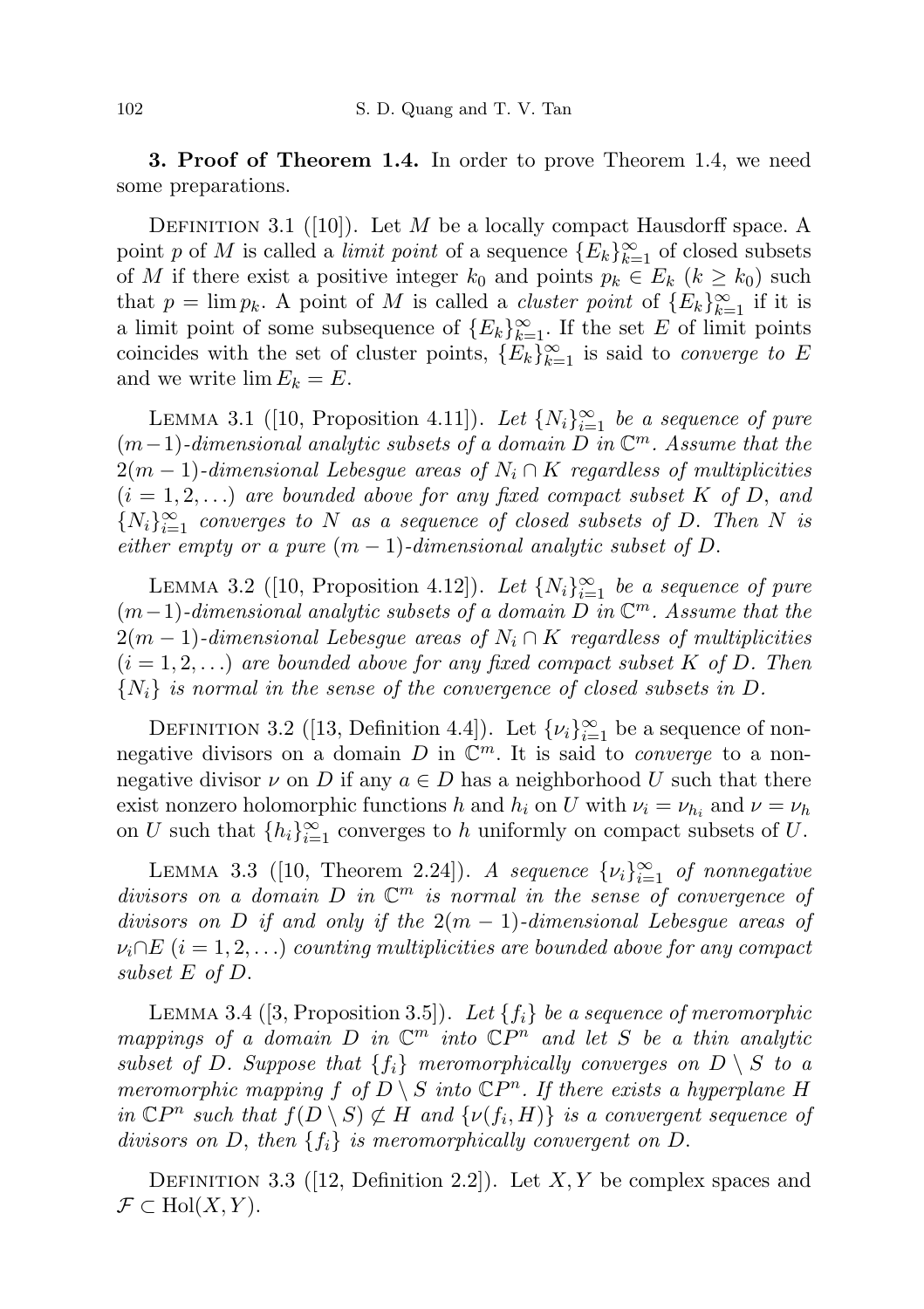3. Proof of Theorem 1.4. In order to prove Theorem 1.4, we need some preparations.

DEFINITION 3.1 ([10]). Let M be a locally compact Hausdorff space. A point p of M is called a *limit point* of a sequence  ${E_k}_{k=1}^{\infty}$  of closed subsets of M if there exist a positive integer  $k_0$  and points  $p_k \in E_k$   $(k \geq k_0)$  such that  $p = \lim p_k$ . A point of M is called a *cluster point* of  ${E_k}_{k=1}^{\infty}$  if it is a limit point of some subsequence of  ${E_k}_{k=1}^{\infty}$ . If the set E of limit points coincides with the set of cluster points,  $\{E_k\}_{k=1}^{\infty}$  is said to *converge to* E and we write  $\lim E_k = E$ .

LEMMA 3.1 ([10, Proposition 4.11]). Let  $\{N_i\}_{i=1}^{\infty}$  be a sequence of pure  $(m-1)$ -dimensional analytic subsets of a domain  $\overline{D}$  in  $\mathbb{C}^m$ . Assume that the  $2(m-1)$ -dimensional Lebesgue areas of  $N_i \cap K$  regardless of multiplicities  $(i = 1, 2, ...)$  are bounded above for any fixed compact subset K of D, and  ${N_i}_{i=1}^{\infty}$  converges to N as a sequence of closed subsets of D. Then N is either empty or a pure  $(m-1)$ -dimensional analytic subset of D.

LEMMA 3.2 ([10, Proposition 4.12]). Let  $\{N_i\}_{i=1}^{\infty}$  be a sequence of pure  $(m-1)$ -dimensional analytic subsets of a domain  $\overline{D}$  in  $\mathbb{C}^m$ . Assume that the  $2(m-1)$ -dimensional Lebesgue areas of  $N_i \cap K$  regardless of multiplicities  $(i = 1, 2, ...)$  are bounded above for any fixed compact subset K of D. Then  $\{N_i\}$  is normal in the sense of the convergence of closed subsets in D.

DEFINITION 3.2 ([13, Definition 4.4]). Let  $\{\nu_i\}_{i=1}^{\infty}$  be a sequence of nonnegative divisors on a domain D in  $\mathbb{C}^m$ . It is said to *converge* to a nonnegative divisor  $\nu$  on D if any  $a \in D$  has a neighborhood U such that there exist nonzero holomorphic functions h and  $h_i$  on U with  $\nu_i = \nu_{h_i}$  and  $\nu = \nu_h$ on U such that  $\{h_i\}_{i=1}^{\infty}$  converges to h uniformly on compact subsets of U.

LEMMA 3.3 ([10, Theorem 2.24]). A sequence  $\{\nu_i\}_{i=1}^{\infty}$  of nonnegative divisors on a domain D in  $\mathbb{C}^m$  is normal in the sense of convergence of divisors on D if and only if the  $2(m-1)$ -dimensional Lebesgue areas of  $\nu_i \cap E$  (i = 1, 2, ...) counting multiplicities are bounded above for any compact subset E of D.

LEMMA 3.4 ([3, Proposition 3.5]). Let  $\{f_i\}$  be a sequence of meromorphic mappings of a domain D in  $\mathbb{C}^m$  into  $\mathbb{C}P^n$  and let S be a thin analytic subset of D. Suppose that  $\{f_i\}$  meromorphically converges on  $D \setminus S$  to a meromorphic mapping f of  $D \setminus S$  into  $\mathbb{C}P^n$ . If there exists a hyperplane H in  $\mathbb{C}P^n$  such that  $f(D \setminus S) \not\subset H$  and  $\{\nu(f_i, H)\}\$ is a convergent sequence of divisors on D, then  $\{f_i\}$  is meromorphically convergent on D.

DEFINITION 3.3 (12, Definition 2.2). Let  $X, Y$  be complex spaces and  $\mathcal{F} \subset \text{Hol}(X, Y).$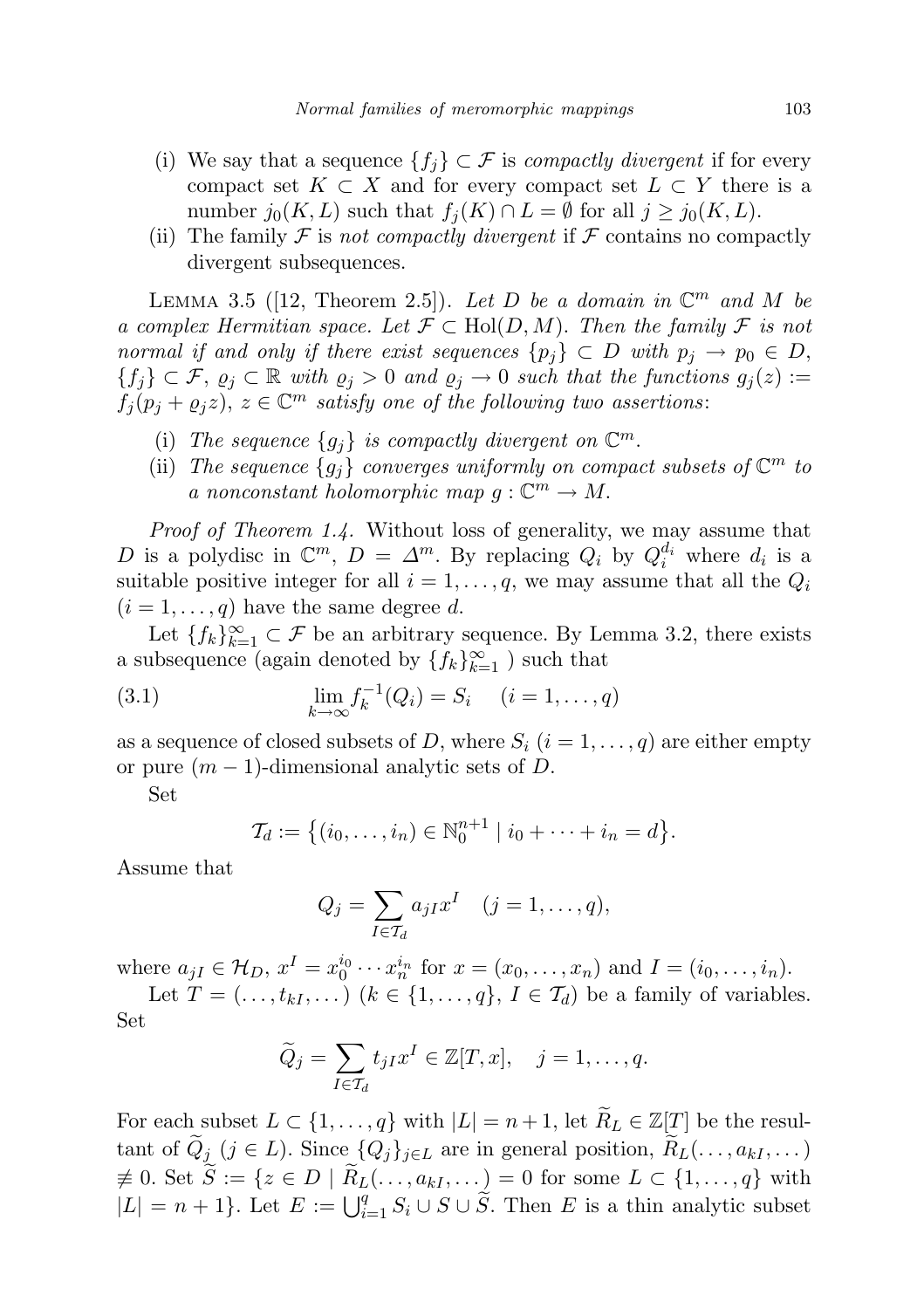- (i) We say that a sequence  $\{f_i\} \subset \mathcal{F}$  is *compactly divergent* if for every compact set  $K \subset X$  and for every compact set  $L \subset Y$  there is a number  $j_0(K, L)$  such that  $f_i(K) \cap L = \emptyset$  for all  $j \geq j_0(K, L)$ .
- (ii) The family  $\mathcal F$  is not compactly divergent if  $\mathcal F$  contains no compactly divergent subsequences.

LEMMA 3.5 ([12, Theorem 2.5]). Let D be a domain in  $\mathbb{C}^m$  and M be a complex Hermitian space. Let  $\mathcal{F} \subset Hol(D, M)$ . Then the family  $\mathcal{F}$  is not normal if and only if there exist sequences  $\{p_i\} \subset D$  with  $p_i \to p_0 \in D$ ,  ${f_j} \subset \mathcal{F}, \varrho_j \subset \mathbb{R}$  with  $\varrho_j > 0$  and  $\varrho_j \to 0$  such that the functions  $g_j(z) :=$  $f_j(p_j + \varrho_j z), z \in \mathbb{C}^m$  satisfy one of the following two assertions:

- (i) The sequence  ${g_j}$  is compactly divergent on  $\mathbb{C}^m$ .
- (ii) The sequence  $\{g_j\}$  converges uniformly on compact subsets of  $\mathbb{C}^m$  to a nonconstant holomorphic map  $g: \mathbb{C}^m \to M$ .

Proof of Theorem 1.4. Without loss of generality, we may assume that D is a polydisc in  $\mathbb{C}^m$ ,  $D = \Delta^m$ . By replacing  $Q_i$  by  $Q_i^{d_i}$  where  $d_i$  is a suitable positive integer for all  $i = 1, \ldots, q$ , we may assume that all the  $Q_i$  $(i = 1, \ldots, q)$  have the same degree d.

Let  ${f_k}_{k=1}^{\infty} \subset \mathcal{F}$  be an arbitrary sequence. By Lemma 3.2, there exists a subsequence (again denoted by  $\{f_k\}_{k=1}^{\infty}$  ) such that

(3.1) 
$$
\lim_{k \to \infty} f_k^{-1}(Q_i) = S_i \quad (i = 1, ..., q)
$$

as a sequence of closed subsets of D, where  $S_i$   $(i = 1, \ldots, q)$  are either empty or pure  $(m-1)$ -dimensional analytic sets of D.

Set

$$
\mathcal{T}_d := \{(i_0, \ldots, i_n) \in \mathbb{N}_0^{n+1} \mid i_0 + \cdots + i_n = d\}.
$$

Assume that

$$
Q_j = \sum_{I \in \mathcal{T}_d} a_{jI} x^I \quad (j = 1, \dots, q),
$$

where  $a_{jI} \in \mathcal{H}_D$ ,  $x^I = x_0^{i_0} \cdots x_n^{i_n}$  for  $x = (x_0, \ldots, x_n)$  and  $I = (i_0, \ldots, i_n)$ .

Let  $T = (\ldots, t_{kI}, \ldots)$   $(k \in \{1, \ldots, q\}, I \in \mathcal{T}_d)$  be a family of variables. Set

$$
\widetilde{Q}_j = \sum_{I \in \mathcal{T}_d} t_{jI} x^I \in \mathbb{Z}[T, x], \quad j = 1, \dots, q.
$$

For each subset  $L \subset \{1, ..., q\}$  with  $|L| = n + 1$ , let  $\widetilde{R}_L \in \mathbb{Z}[T]$  be the resultant of  $\tilde{Q}_j$  ( $j \in L$ ). Since  $\{Q_j\}_{j \in L}$  are in general position,  $\tilde{R}_L(\ldots, a_{kI}, \ldots)$  $\neq 0.$  Set  $\widetilde{S} := \{z \in D \mid \widetilde{R}_L(\ldots, a_{kI}, \ldots) = 0 \text{ for some } L \subset \{1, \ldots, q\} \text{ with }$  $|L| = n + 1$ . Let  $E := \bigcup_{i=1}^{q} S_i \cup S \cup \widetilde{S}$ . Then E is a thin analytic subset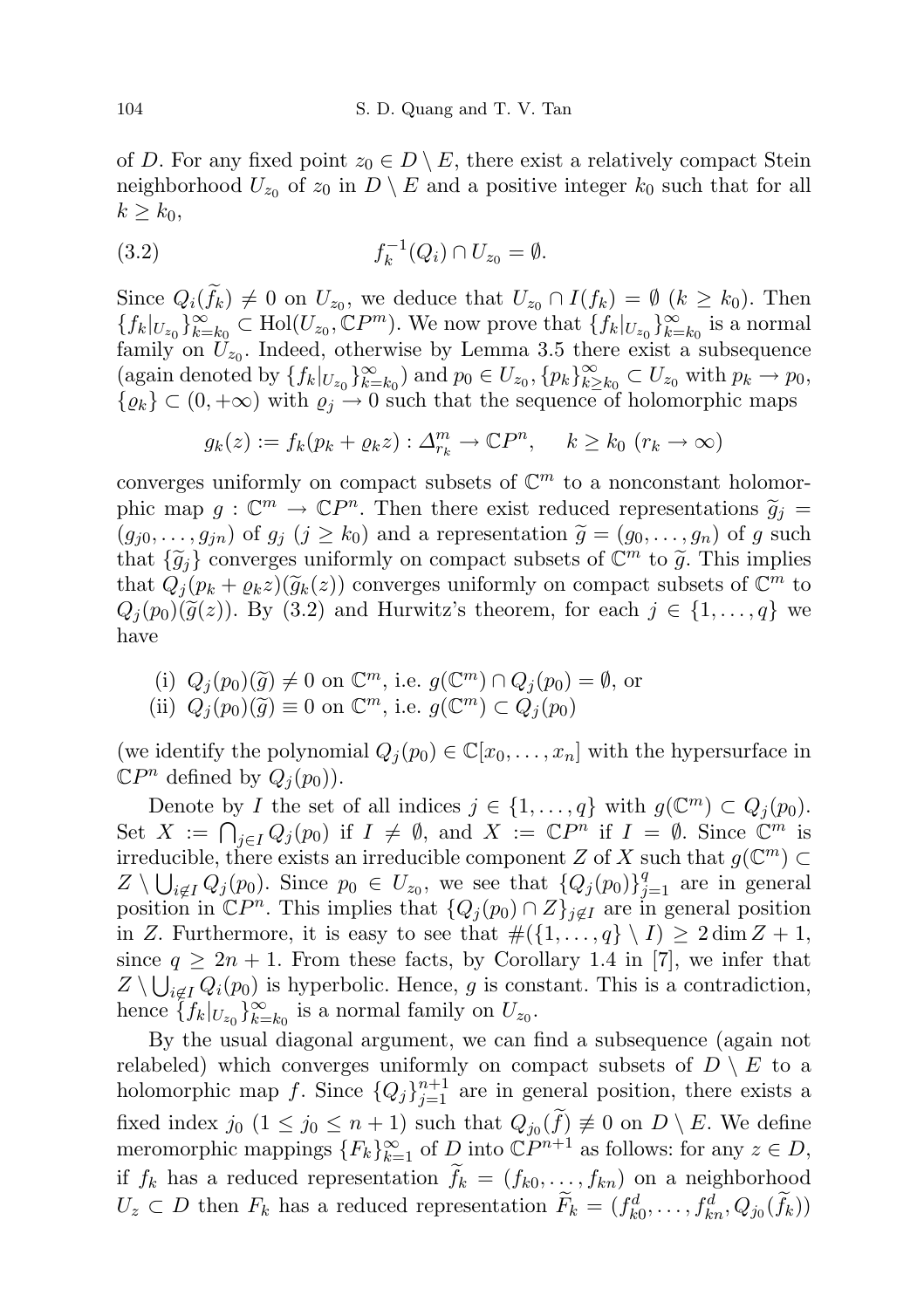of D. For any fixed point  $z_0 \in D \setminus E$ , there exist a relatively compact Stein neighborhood  $U_{z_0}$  of  $z_0$  in  $D \setminus E$  and a positive integer  $k_0$  such that for all  $k \geq k_0$ ,

(3.2) 
$$
f_k^{-1}(Q_i) \cap U_{z_0} = \emptyset.
$$

Since  $Q_i(f_k) \neq 0$  on  $U_{z_0}$ , we deduce that  $U_{z_0} \cap I(f_k) = \emptyset$   $(k \geq k_0)$ . Then  ${f_k|_{U_{z_0}}}_{k=k_0}^{\infty} \subset \text{Hol}(U_{z_0}, \mathbb{C}P^m)$ . We now prove that  ${f_k|_{U_{z_0}}}_{k=k_0}^{\infty}$  is a normal family on  $U_{z_0}$ . Indeed, otherwise by Lemma 3.5 there exist a subsequence (again denoted by  $\{f_k|_{U_{z_0}}\}_{k=k_0}^{\infty}$ ) and  $p_0 \in U_{z_0}, \{p_k\}_{k\geq 0}^{\infty}$  $\sum_{k\geq k_0}^{\infty} \subset U_{z_0}$  with  $p_k \to p_0$ ,  $\{\varrho_k\} \subset (0, +\infty)$  with  $\varrho_j \to 0$  such that the sequence of holomorphic maps

$$
g_k(z) := f_k(p_k + \varrho_k z) : \Delta_{r_k}^m \to \mathbb{C}P^n, \quad k \ge k_0 \ (r_k \to \infty)
$$

converges uniformly on compact subsets of  $\mathbb{C}^m$  to a nonconstant holomorphic map  $g: \mathbb{C}^m \to \mathbb{C}P^n$ . Then there exist reduced representations  $\widetilde{g}_j = (g_{\alpha_0}, g_{\alpha_0})$  of  $g_{\alpha_0}(i > k_0)$  and a representation  $\widetilde{g}_{\alpha_0}(g_{\alpha_0}, g_{\alpha_0})$  of  $g_{\alpha_0}$  such  $(g_{j0}, \ldots, g_{jn})$  of  $g_j$   $(j \geq k_0)$  and a representation  $\widetilde{g} = (g_0, \ldots, g_n)$  of g such that  $\{\tilde{g}_j\}$  converges uniformly on compact subsets of  $\mathbb{C}^m$  to  $\tilde{g}$ . This implies<br>that  $O_n(n + \alpha z)(\tilde{g}_n(z))$  converges uniformly on compact subsets of  $\mathbb{C}^m$  to that  $Q_j(p_k + \varrho_k z)(\tilde{g}_k(z))$  converges uniformly on compact subsets of  $\mathbb{C}^m$  to  $Q_k(p_k)(\tilde{g}_k(z))$  By  $(3, 2)$  and Hurwitz's theorem for each  $i \in I_1$  all we  $Q_i(p_0)(\tilde{g}(z))$ . By (3.2) and Hurwitz's theorem, for each  $j \in \{1, \ldots, q\}$  we have

(i)  $Q_j(p_0)(\tilde{g}) \neq 0$  on  $\mathbb{C}^m$ , i.e.  $g(\mathbb{C}^m) \cap Q_j(p_0) = \emptyset$ , or<br>(ii)  $Q_j(p_0)(\tilde{g}) = 0$  on  $\mathbb{C}^m$  i.e.  $g(\mathbb{C}^m) \subset Q_j(p_0)$ (ii)  $Q_j(p_0)(\tilde{g}) \equiv 0$  on  $\mathbb{C}^m$ , i.e.  $g(\mathbb{C}^m) \subset Q_j(p_0)$ 

(we identify the polynomial  $Q_j(p_0) \in \mathbb{C}[x_0, \ldots, x_n]$  with the hypersurface in  $\mathbb{C}P^n$  defined by  $Q_j(p_0)$ .

Denote by I the set of all indices  $j \in \{1, ..., q\}$  with  $g(\mathbb{C}^m) \subset Q_j(p_0)$ . Set  $X := \bigcap_{j \in I} Q_j(p_0)$  if  $I \neq \emptyset$ , and  $X := \mathbb{C}P^n$  if  $I = \emptyset$ . Since  $\mathbb{C}^m$  is irreducible, there exists an irreducible component Z of X such that  $g(\mathbb{C}^m)$  $Z \setminus \bigcup_{i \notin I} Q_j(p_0)$ . Since  $p_0 \in U_{z_0}$ , we see that  $\{Q_j(p_0)\}_{j=1}^q$  are in general position in  $\mathbb{C}P^n$ . This implies that  $\{Q_j(p_0) \cap Z\}_{j \notin I}$  are in general position in Z. Furthermore, it is easy to see that  $\#({1,\ldots,q}\setminus I) \geq 2 \dim Z + 1$ , since  $q \geq 2n + 1$ . From these facts, by Corollary 1.4 in [7], we infer that  $Z \setminus \bigcup_{i \notin I} Q_i(p_0)$  is hyperbolic. Hence, g is constant. This is a contradiction, hence  $\{\tilde{f}_k|_{U_{z_0}}\}_{k=k_0}^{\infty}$  is a normal family on  $U_{z_0}$ .

By the usual diagonal argument, we can find a subsequence (again not relabeled) which converges uniformly on compact subsets of  $D \setminus E$  to a holomorphic map f. Since  ${Q_j}_{j=1}^{n+1}$  are in general position, there exists a fixed index  $j_0$   $(1 \leq j_0 \leq n+1)$  such that  $Q_{j_0}(f) \neq 0$  on  $D \setminus E$ . We define meromorphic mappings  ${F_k}_{k=1}^{\infty}$  of D into  $\mathbb{C}P^{n+1}$  as follows: for any  $z \in D$ , if  $f_k$  has a reduced representation  $f_k = (f_{k0}, \ldots, f_{kn})$  on a neighborhood  $U_z \subset D$  then  $F_k$  has a reduced representation  $\widetilde{F}_k = (f_{k0}^d, \ldots, f_{kn}^d, Q_{j0}(\widetilde{f}_k))$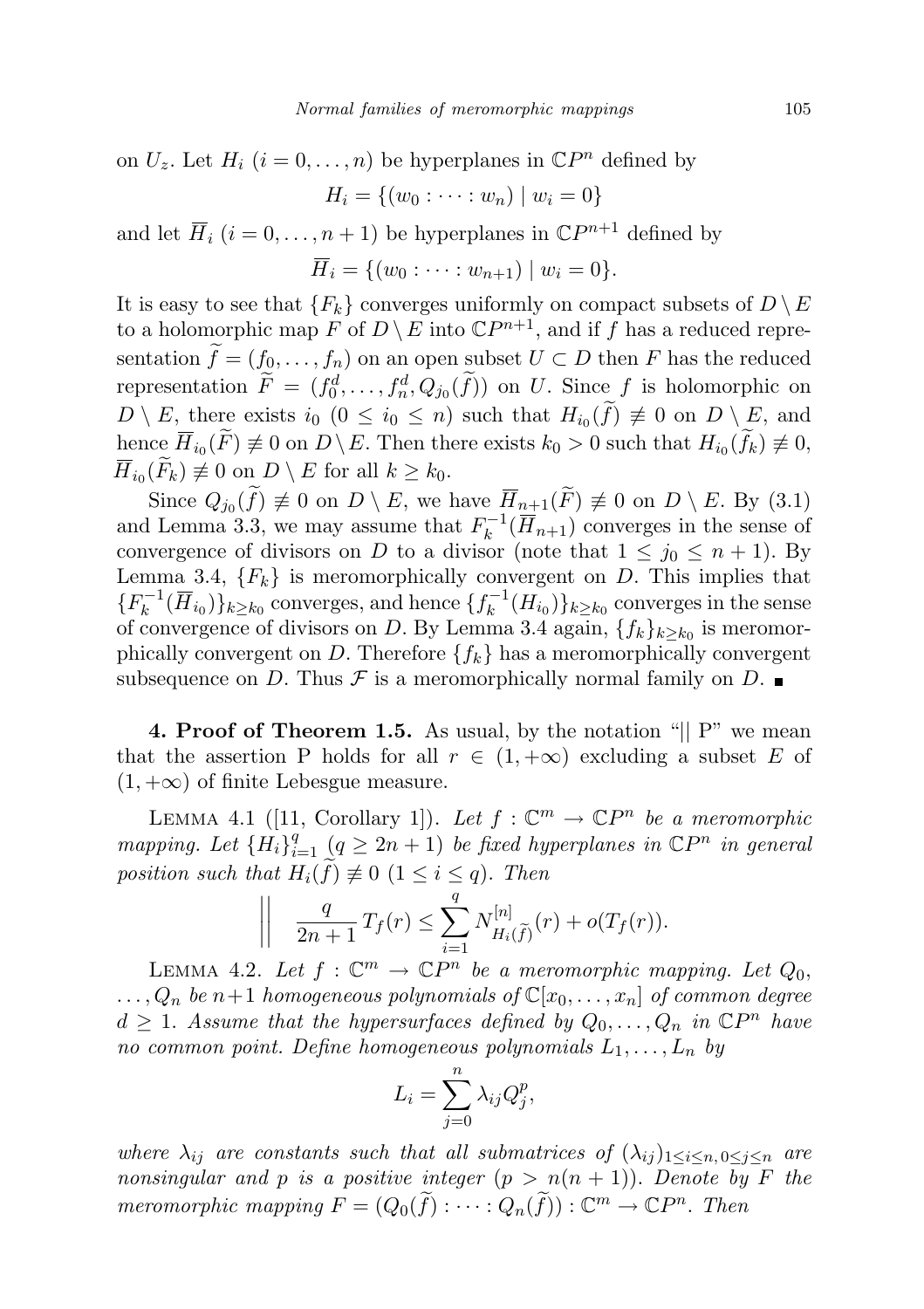on  $U_z$ . Let  $H_i$   $(i = 0, ..., n)$  be hyperplanes in  $\mathbb{C}P^n$  defined by

 $H_i = \{(w_0 : \cdots : w_n) \mid w_i = 0\}$ 

and let  $\overline{H}_i$   $(i = 0, \ldots, n + 1)$  be hyperplanes in  $\mathbb{C}P^{n+1}$  defined by

$$
\overline{H}_i = \{ (w_0 : \dots : w_{n+1}) \mid w_i = 0 \}.
$$

It is easy to see that  ${F_k}$  converges uniformly on compact subsets of  $D \setminus E$ to a holomorphic map  $F$  of  $D \setminus E$  into  $\mathbb{C}P^{n+1}$ , and if f has a reduced representation  $\tilde{f} = (f_0, \ldots, f_n)$  on an open subset  $U \subset D$  then F has the reduced representation  $\tilde{F} = (f_0^d, \ldots, f_n^d, Q_{j_0}(\tilde{f}))$  on U. Since f is holomorphic on  $D \setminus E$ , there exists  $i_0$   $(0 \leq i_0 \leq n)$  such that  $H_{i_0}(f) \neq 0$  on  $D \setminus E$ , and hence  $H_{i_0}(F) \not\equiv 0$  on  $D \setminus E$ . Then there exists  $k_0 > 0$  such that  $H_{i_0}(f_k) \not\equiv 0$ ,  $H_{i_0}(F_k) \not\equiv 0 \text{ on } D \setminus E \text{ for all } k \geq k_0.$ 

Since  $Q_{j_0}(f) \neq 0$  on  $D \setminus E$ , we have  $H_{n+1}(F) \neq 0$  on  $D \setminus E$ . By (3.1) and Lemma 3.3, we may assume that  $F_k^{-1}$  $k^{-1}(H_{n+1})$  converges in the sense of convergence of divisors on D to a divisor (note that  $1 \leq j_0 \leq n+1$ ). By Lemma 3.4,  ${F_k}$  is meromorphically convergent on D. This implies that  ${F_k^{-1}}$  $\{(\overline{H}_{i_0})\}_{k \geq k_0}$  converges, and hence  $\{f_k^{-1}\}$  $\binom{k^{-1}}{k}(H_{i_0})\}_{k\geq k_0}$  converges in the sense of convergence of divisors on D. By Lemma 3.4 again,  $\{f_k\}_{k\geq k_0}$  is meromorphically convergent on D. Therefore  $\{f_k\}$  has a meromorphically convergent subsequence on D. Thus  $\mathcal F$  is a meromorphically normal family on D.  $\blacksquare$ 

4. Proof of Theorem 1.5. As usual, by the notation "|| P" we mean that the assertion P holds for all  $r \in (1, +\infty)$  excluding a subset E of  $(1, +\infty)$  of finite Lebesgue measure.

LEMMA 4.1 ([11, Corollary 1]). Let  $f: \mathbb{C}^m \to \mathbb{C}P^n$  be a meromorphic mapping. Let  $\{H_i\}_{i=1}^q$   $(q \geq 2n + 1)$  be fixed hyperplanes in  $\mathbb{C}P^n$  in general position such that  $H_i(f) \neq 0$   $(1 \leq i \leq q)$ . Then

$$
\left\| \frac{q}{2n+1} T_f(r) \leq \sum_{i=1}^q N_{H_i(\widetilde{f})}^{[n]}(r) + o(T_f(r)).
$$

LEMMA 4.2. Let  $f: \mathbb{C}^m \to \mathbb{C}P^n$  be a meromorphic mapping. Let  $Q_0$ ,  $\ldots, Q_n$  be n+1 homogeneous polynomials of  $\mathbb{C}[x_0,\ldots,x_n]$  of common degree  $d \geq 1$ . Assume that the hypersurfaces defined by  $Q_0, \ldots, Q_n$  in  $\mathbb{C}P^n$  have no common point. Define homogeneous polynomials  $L_1, \ldots, L_n$  by

$$
L_i = \sum_{j=0}^n \lambda_{ij} Q_j^p,
$$

where  $\lambda_{ij}$  are constants such that all submatrices of  $(\lambda_{ij})_{1\leq i\leq n, 0\leq j\leq n}$  are nonsingular and p is a positive integer  $(p > n(n + 1))$ . Denote by F the meromorphic mapping  $F = (Q_0(\tilde{f}) : \cdots : Q_n(\tilde{f})) : \mathbb{C}^m \to \mathbb{C}P^n$ . Then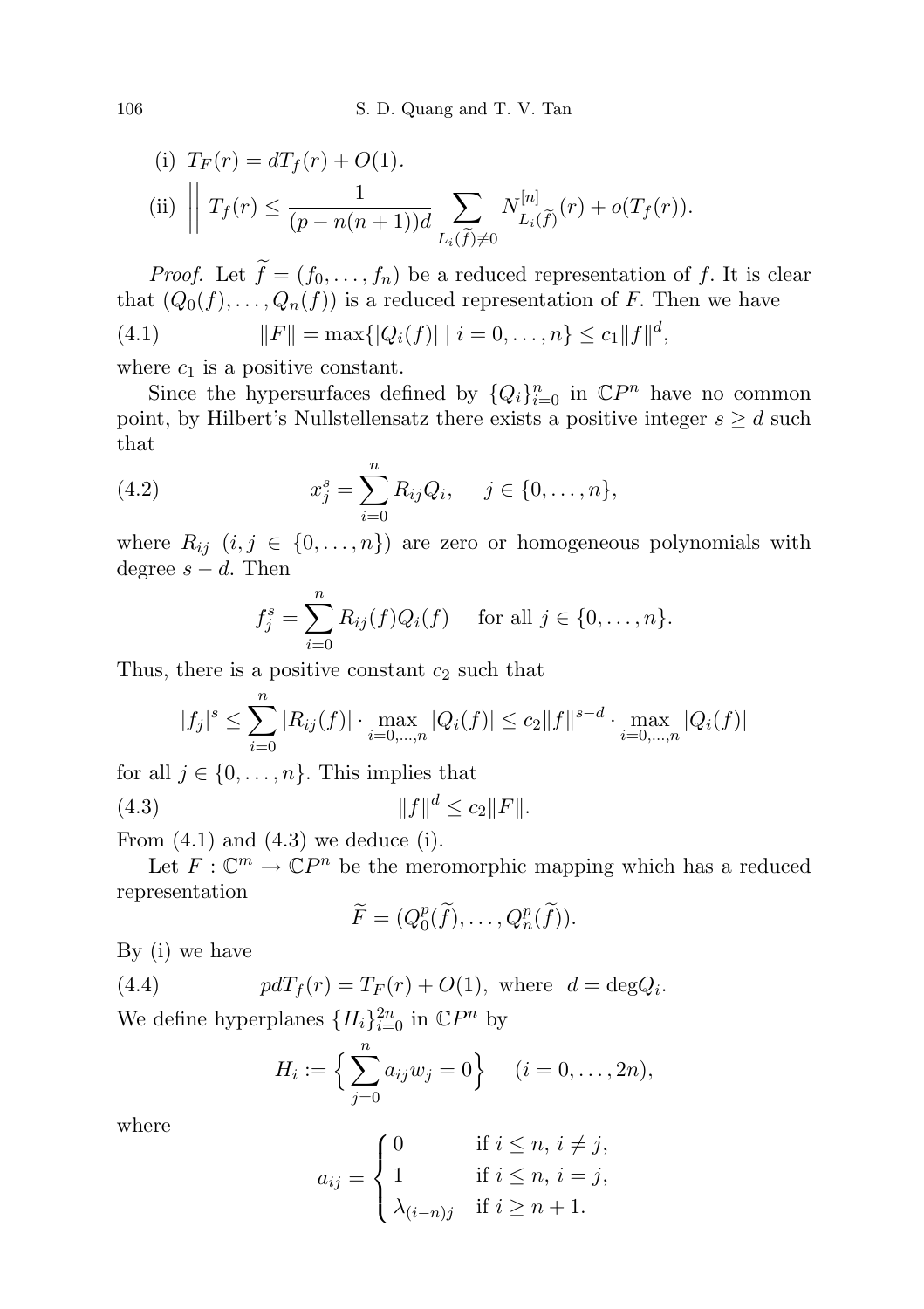(i) 
$$
T_F(r) = dT_f(r) + O(1)
$$
.  
\n(ii)  $\left\| T_f(r) \leq \frac{1}{(p - n(n+1))d} \sum_{L_i(\tilde{f}) \neq 0} N_{L_i(\tilde{f})}^{[n]}(r) + o(T_f(r)) \right\|$ .

*Proof.* Let  $\tilde{f} = (f_0, \ldots, f_n)$  be a reduced representation of f. It is clear that  $(Q_0(f), \ldots, Q_n(f))$  is a reduced representation of F. Then we have (4.1)  $||F|| = \max\{|Q_i(f)| | i = 0, \dots, n\} \le c_1 ||f||^d,$ 

where  $c_1$  is a positive constant.

Since the hypersurfaces defined by  $\{Q_i\}_{i=0}^n$  in  $\mathbb{C}P^n$  have no common point, by Hilbert's Nullstellensatz there exists a positive integer  $s \geq d$  such that

(4.2) 
$$
x_j^s = \sum_{i=0}^n R_{ij} Q_i, \quad j \in \{0, \dots, n\},
$$

where  $R_{ij}$   $(i, j \in \{0, ..., n\})$  are zero or homogeneous polynomials with degree  $s - d$ . Then

$$
f_j^s = \sum_{i=0}^n R_{ij}(f)Q_i(f) \text{ for all } j \in \{0, ..., n\}.
$$

Thus, there is a positive constant  $c_2$  such that

$$
|f_j|^s \le \sum_{i=0}^n |R_{ij}(f)| \cdot \max_{i=0,\dots,n} |Q_i(f)| \le c_2 \|f\|^{s-d} \cdot \max_{i=0,\dots,n} |Q_i(f)|
$$

for all  $j \in \{0, \ldots, n\}$ . This implies that

(4.3) 
$$
||f||^d \le c_2 ||F||.
$$

From  $(4.1)$  and  $(4.3)$  we deduce  $(i)$ .

Let  $F: \mathbb{C}^m \to \mathbb{C}P^n$  be the meromorphic mapping which has a reduced representation

$$
\widetilde{F} = (Q_0^p(\widetilde{f}), \ldots, Q_n^p(\widetilde{f})).
$$

By (i) we have

(4.4) 
$$
pdT_f(r) = T_F(r) + O(1), \text{ where } d = \deg Q_i.
$$

We define hyperplanes  $\{H_i\}_{i=0}^{2n}$  in  $\mathbb{C}P^n$  by

$$
H_i := \left\{ \sum_{j=0}^n a_{ij} w_j = 0 \right\} \quad (i = 0, \dots, 2n),
$$

where

$$
a_{ij} = \begin{cases} 0 & \text{if } i \leq n, i \neq j, \\ 1 & \text{if } i \leq n, i = j, \\ \lambda_{(i-n)j} & \text{if } i \geq n+1. \end{cases}
$$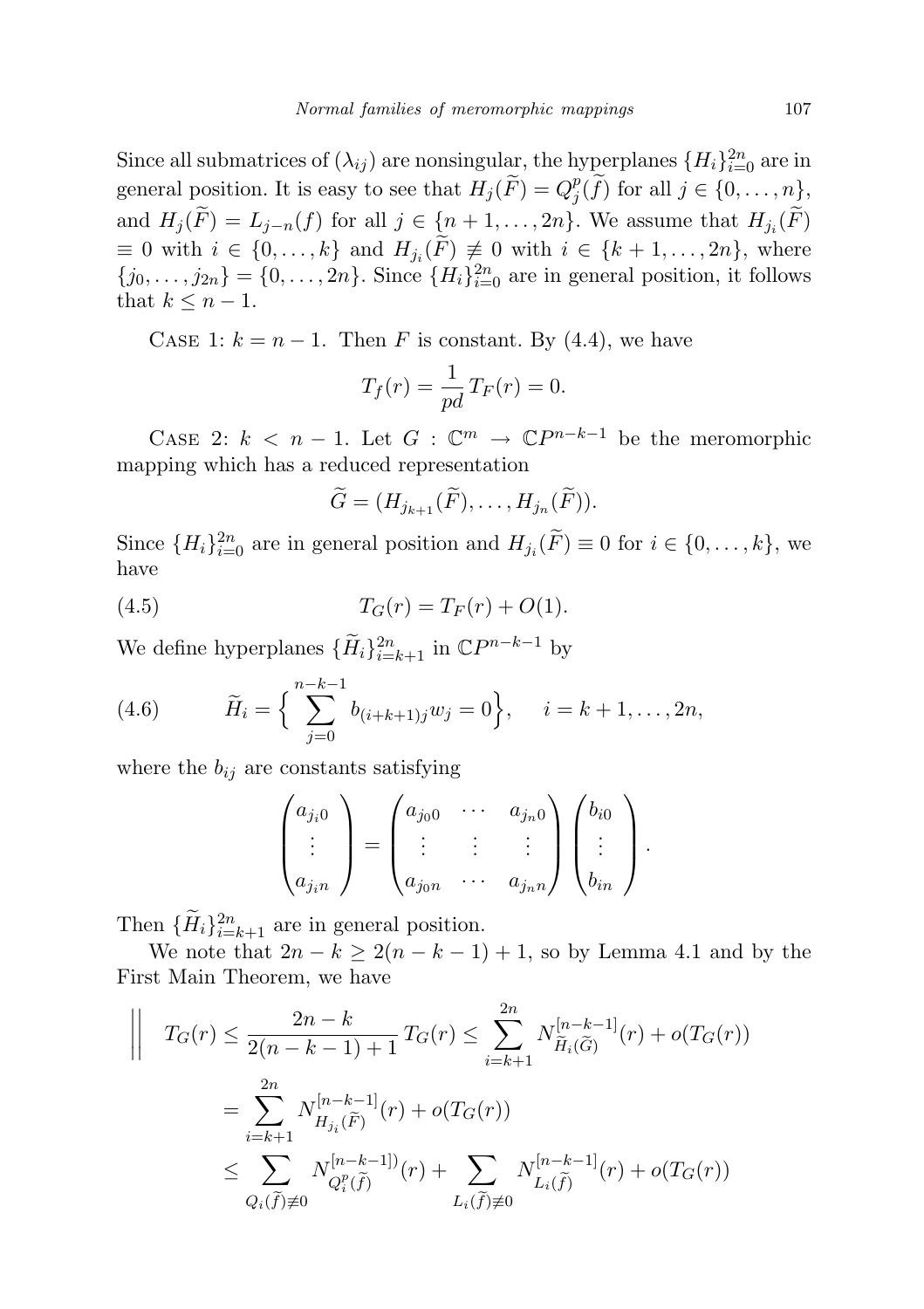Since all submatrices of  $(\lambda_{ij})$  are nonsingular, the hyperplanes  $\{H_i\}_{i=0}^{2n}$  are in general position. It is easy to see that  $H_j(\widetilde{F}) = Q_j^p$  $j^p(f)$  for all  $j \in \{0, \ldots, n\},\$ and  $H_j(F) = L_{j-n}(f)$  for all  $j \in \{n+1, \ldots, 2n\}$ . We assume that  $H_{j_i}(F)$  $\equiv 0$  with  $i \in \{0, \ldots, k\}$  and  $H_{j_i}(F) \not\equiv 0$  with  $i \in \{k+1, \ldots, 2n\}$ , where  ${j_0, \ldots, j_{2n}} = {0, \ldots, 2n}$ . Since  ${H_i}_{i=0}^{2n}$  are in general position, it follows that  $k \leq n-1$ .

CASE 1:  $k = n - 1$ . Then F is constant. By (4.4), we have

$$
T_f(r) = \frac{1}{pd} T_F(r) = 0.
$$

CASE 2:  $k < n - 1$ . Let  $G : \mathbb{C}^m \to \mathbb{C}P^{n-k-1}$  be the meromorphic mapping which has a reduced representation

$$
\widetilde{G}=(H_{j_{k+1}}(\widetilde{F}),\ldots,H_{j_n}(\widetilde{F})).
$$

Since  ${H_i}_{i=0}^{2n}$  are in general position and  $H_{j_i}(\tilde{F}) \equiv 0$  for  $i \in \{0, \ldots, k\}$ , we have

(4.5) 
$$
T_G(r) = T_F(r) + O(1).
$$

We define hyperplanes  $\{\widetilde{H}_i\}_{i=k+1}^{2n}$  in  $\mathbb{C}P^{n-k-1}$  by

(4.6) 
$$
\widetilde{H}_i = \left\{ \sum_{j=0}^{n-k-1} b_{(i+k+1)j} w_j = 0 \right\}, \quad i = k+1, \dots, 2n,
$$

where the  $b_{ij}$  are constants satisfying

$$
\begin{pmatrix} a_{j_i 0} \\ \vdots \\ a_{j_i n} \end{pmatrix} = \begin{pmatrix} a_{j_0 0} & \cdots & a_{j_n 0} \\ \vdots & \vdots & \vdots \\ a_{j_0 n} & \cdots & a_{j_n n} \end{pmatrix} \begin{pmatrix} b_{i0} \\ \vdots \\ b_{i n} \end{pmatrix}.
$$

Then  ${\{\widetilde{H}_i\}}_{i=k+1}^{2n}$  are in general position.

We note that  $2n - k \geq 2(n - k - 1) + 1$ , so by Lemma 4.1 and by the First Main Theorem, we have

$$
\begin{aligned}\n\left| \quad T_G(r) \leq \frac{2n - k}{2(n - k - 1) + 1} T_G(r) \leq \sum_{i = k + 1}^{2n} N_{\widetilde{H}_i(\widetilde{G})}^{[n - k - 1]}(r) + o(T_G(r)) \right| \\
&= \sum_{i = k + 1}^{2n} N_{H_{j_i}(\widetilde{F})}^{[n - k - 1]}(r) + o(T_G(r)) \\
&\leq \sum_{Q_i(\widetilde{f}) \neq 0} N_{Q_i^p(\widetilde{f})}^{[n - k - 1]}(r) + \sum_{L_i(\widetilde{f}) \neq 0} N_{L_i(\widetilde{f})}^{[n - k - 1]}(r) + o(T_G(r))\n\end{aligned}
$$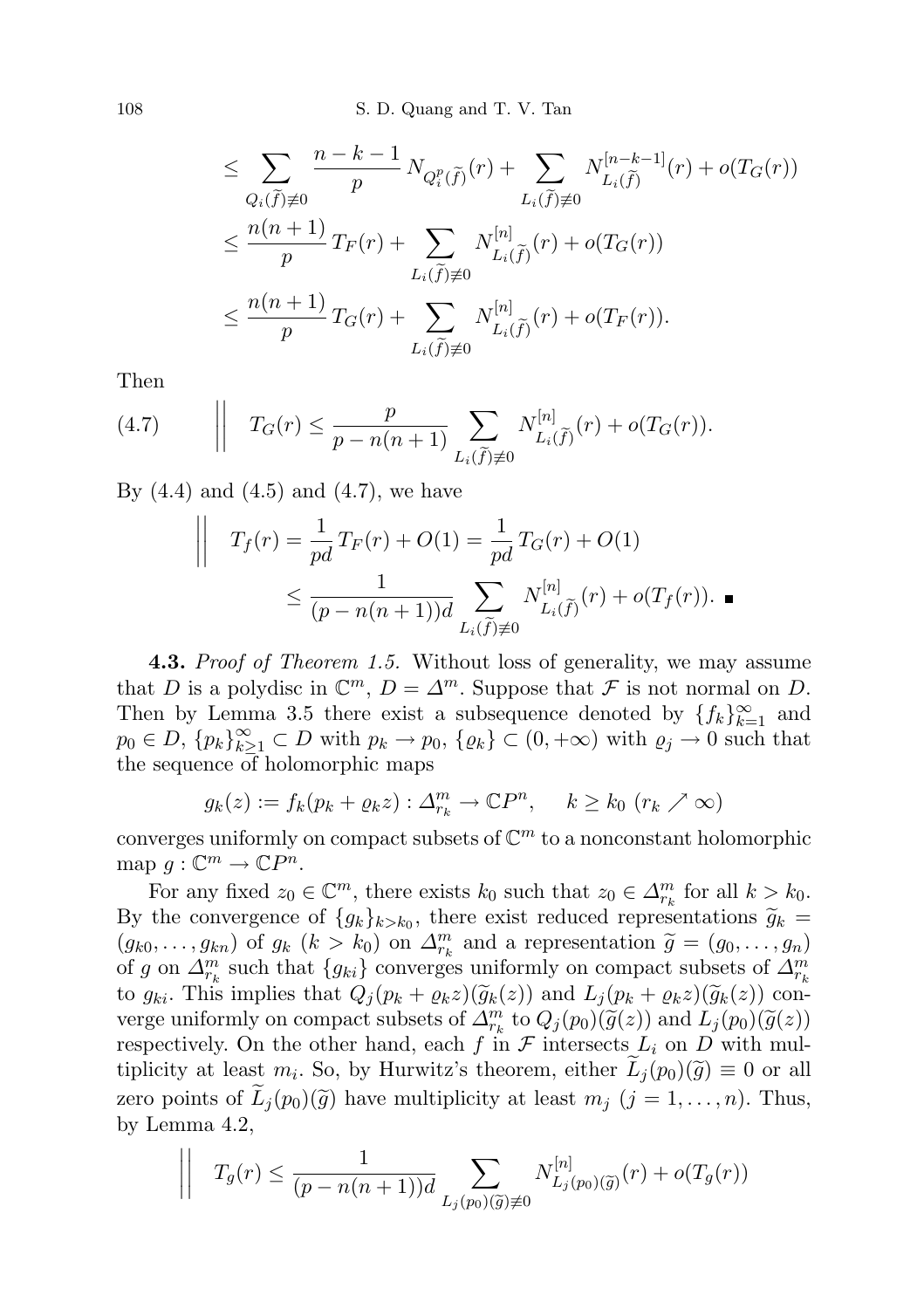108 S. D. Quang and T. V. Tan

$$
\leq \sum_{Q_i(\widetilde{f})\neq 0} \frac{n-k-1}{p} N_{Q_i^p(\widetilde{f})}(r) + \sum_{L_i(\widetilde{f})\neq 0} N_{L_i(\widetilde{f})}^{[n-k-1]}(r) + o(T_G(r))
$$
  

$$
\leq \frac{n(n+1)}{p} T_F(r) + \sum_{L_i(\widetilde{f})\neq 0} N_{L_i(\widetilde{f})}^{[n]}(r) + o(T_G(r))
$$
  

$$
\leq \frac{n(n+1)}{p} T_G(r) + \sum_{L_i(\widetilde{f})\neq 0} N_{L_i(\widetilde{f})}^{[n]}(r) + o(T_F(r)).
$$

Then

(4.7) 
$$
\left\| T_G(r) \leq \frac{p}{p - n(n+1)} \sum_{L_i(\tilde{f}) \neq 0} N_{L_i(\tilde{f})}^{[n]}(r) + o(T_G(r)).
$$

By  $(4.4)$  and  $(4.5)$  and  $(4.7)$ , we have

$$
\begin{aligned}\n\left| \quad T_f(r) = \frac{1}{pd} T_F(r) + O(1) = \frac{1}{pd} T_G(r) + O(1) \\
&\leq \frac{1}{(p - n(n+1))d} \sum_{L_i(\tilde{f}) \neq 0} N_{L_i(\tilde{f})}^{[n]}(r) + o(T_f(r)).\n\end{aligned}\n\right.
$$

**4.3.** Proof of Theorem 1.5. Without loss of generality, we may assume that D is a polydisc in  $\mathbb{C}^m$ ,  $D = \Delta^m$ . Suppose that F is not normal on D. Then by Lemma 3.5 there exist a subsequence denoted by  ${f_k}_{k=1}^{\infty}$  and  $p_0 \in D, \{p_k\}_{k=1}^{\infty} \subset D$  with  $p_k \to p_0, \{\varrho_k\} \subset (0, +\infty)$  with  $\varrho_j \to 0$  such that the sequence of holomorphic maps

$$
g_k(z) := f_k(p_k + \varrho_k z) : \Delta_{r_k}^m \to \mathbb{C}P^n, \quad k \ge k_0 \ (r_k \nearrow \infty)
$$

converges uniformly on compact subsets of  $\mathbb{C}^m$  to a nonconstant holomorphic map  $g: \mathbb{C}^m \to \mathbb{C}P^n$ .

For any fixed  $z_0 \in \mathbb{C}^m$ , there exists  $k_0$  such that  $z_0 \in \Delta_{r_k}^m$  for all  $k > k_0$ . By the convergence of  $\{g_k\}_{k>k_0}$ , there exist reduced representations  $\widetilde{g}_k = (g_k, g_k)$  of  $g_k$  ( $k > k_0$ ) on  $\Lambda^m$  and a representation  $\widetilde{g}_k = (g_k, g_k)$  $(g_{k0},...,g_{kn})$  of  $g_k$   $(k > k_0)$  on  $\Delta_{r_k}^m$  and a representation  $\tilde{g} = (g_0,...,g_n)$ <br>of g on  $\Delta_{r_k}^m$  such that  $\{g_k\}$  converges uniformly on compact subsets of  $\Delta_{r_k}^m$ of g on  $\Delta_{r_k}^m$  such that  $\{g_{ki}\}\$ converges uniformly on compact subsets of  $\Delta_{r_k}^m$ to  $g_{ki}$ . This implies that  $Q_j (p_k + \varrho_k z)(\tilde{g}_k(z))$  and  $L_j (p_k + \varrho_k z)(\tilde{g}_k(z))$  converge uniformly on compact subsets of  $\Delta_n^m$  to  $Q_j(p_0)(\tilde{g}(z))$  and  $L_j(p_0)(\tilde{g}(z))$ <br>representively. On the other hand, each f in  $\mathcal F$  intercepts  $L_j$  on  $D$  with well respectively. On the other hand, each f in  $\mathcal F$  intersects  $L_i$  on D with multiplicity at least  $m_i$ . So, by Hurwitz's theorem, either  $L_j(p_0)(\tilde{g}) \equiv 0$  or all zero points of  $\widetilde{L}_i(p_0)(\widetilde{g})$  have multiplicity at least  $m_i$   $(j = 1, \ldots, n)$ . Thus, by Lemma 4.2,

$$
\left\| T_g(r) \le \frac{1}{(p - n(n+1))d} \sum_{L_j(p_0)(\widetilde{g}) \neq 0} N_{L_j(p_0)(\widetilde{g})}^{[n]}(r) + o(T_g(r)) \right\|
$$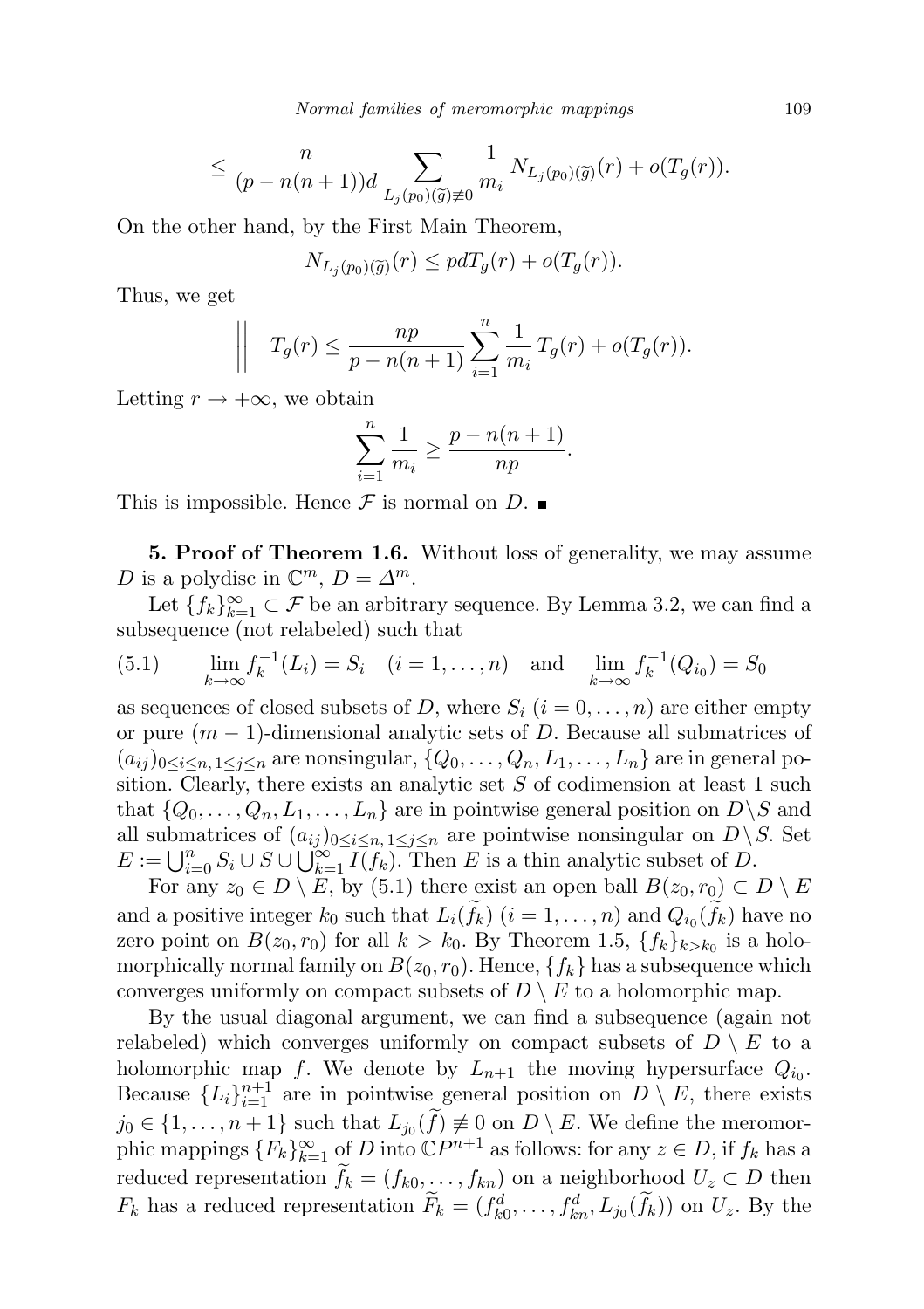Normal families of meromorphic mappings 109

$$
\leq \frac{n}{(p-n(n+1))d} \sum_{L_j(p_0)(\widetilde{g})\neq 0} \frac{1}{m_i} N_{L_j(p_0)(\widetilde{g})}(r) + o(T_g(r)).
$$

On the other hand, by the First Main Theorem,

$$
N_{L_j(p_0)(\widetilde{g})}(r) \leq pdT_g(r) + o(T_g(r)).
$$

Thus, we get

$$
\left| \left| T_g(r) \leq \frac{np}{p - n(n+1)} \sum_{i=1}^n \frac{1}{m_i} T_g(r) + o(T_g(r)). \right| \right|
$$

Letting  $r \to +\infty$ , we obtain

$$
\sum_{i=1}^{n} \frac{1}{m_i} \ge \frac{p - n(n+1)}{np}.
$$

This is impossible. Hence  $\mathcal F$  is normal on  $D$ .

5. Proof of Theorem 1.6. Without loss of generality, we may assume D is a polydisc in  $\mathbb{C}^m$ ,  $D = \Delta^m$ .

Let  ${f_k}_{k=1}^{\infty} \subset \mathcal{F}$  be an arbitrary sequence. By Lemma 3.2, we can find a subsequence (not relabeled) such that

(5.1) 
$$
\lim_{k \to \infty} f_k^{-1}(L_i) = S_i \quad (i = 1, ..., n) \text{ and } \lim_{k \to \infty} f_k^{-1}(Q_{i_0}) = S_0
$$

as sequences of closed subsets of D, where  $S_i$   $(i = 0, \ldots, n)$  are either empty or pure  $(m-1)$ -dimensional analytic sets of D. Because all submatrices of  $(a_{ij})_{0\leq i\leq n, 1\leq j\leq n}$  are nonsingular,  $\{Q_0,\ldots,Q_n,L_1,\ldots,L_n\}$  are in general position. Clearly, there exists an analytic set  $S$  of codimension at least 1 such that  $\{Q_0, \ldots, Q_n, L_1, \ldots, L_n\}$  are in pointwise general position on  $D \setminus S$  and all submatrices of  $(a_{ij})_{0 \leq i \leq n, 1 \leq j \leq n}$  are pointwise nonsingular on  $D \setminus S$ . Set  $E := \bigcup_{i=0}^n S_i \cup S \cup \bigcup_{k=1}^{\infty} \overline{I(f_k)}$ . Then E is a thin analytic subset of D.

For any  $z_0 \in D \setminus E$ , by (5.1) there exist an open ball  $B(z_0, r_0) \subset D \setminus E$ and a positive integer  $k_0$  such that  $L_i(f_k)$   $(i = 1, ..., n)$  and  $Q_{i_0}(f_k)$  have no zero point on  $B(z_0, r_0)$  for all  $k > k_0$ . By Theorem 1.5,  $\{f_k\}_{k>k_0}$  is a holomorphically normal family on  $B(z_0, r_0)$ . Hence,  $\{f_k\}$  has a subsequence which converges uniformly on compact subsets of  $D \setminus E$  to a holomorphic map.

By the usual diagonal argument, we can find a subsequence (again not relabeled) which converges uniformly on compact subsets of  $D \setminus E$  to a holomorphic map f. We denote by  $L_{n+1}$  the moving hypersurface  $Q_{i_0}$ . Because  ${L_i}_{i=1}^{n+1}$  are in pointwise general position on  $D \setminus E$ , there exists  $j_0 \in \{1, \ldots, n+1\}$  such that  $L_{j_0}(f) \neq 0$  on  $D \setminus E$ . We define the meromorphic mappings  ${F_k}_{k=1}^{\infty}$  of D into  $\mathbb{C}P^{n+1}$  as follows: for any  $z \in D$ , if  $f_k$  has a reduced representation  $f_k = (f_{k0}, \ldots, f_{kn})$  on a neighborhood  $U_z \subset D$  then  $F_k$  has a reduced representation  $\tilde{F}_k = (f_{k0}^d, \ldots, f_{kn}^d, L_{j0}(\tilde{f}_k))$  on  $U_z$ . By the